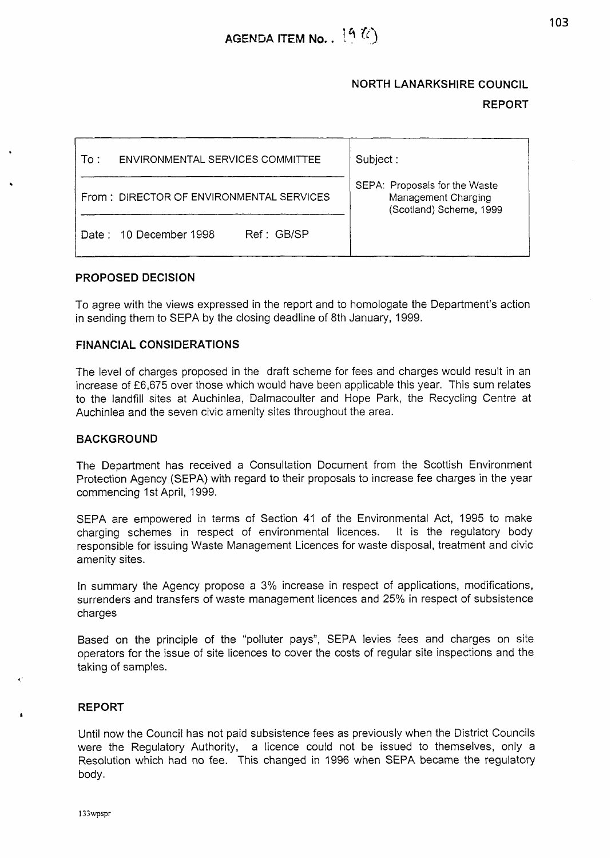# **NORTH LANARKSHIRE COUNCIL**

# **REPORT**

| ENVIRONMENTAL SERVICES COMMITTEE<br>To : | Subject:                                                                        |
|------------------------------------------|---------------------------------------------------------------------------------|
| From: DIRECTOR OF ENVIRONMENTAL SERVICES | SEPA: Proposals for the Waste<br>Management Charging<br>(Scotland) Scheme, 1999 |
| Ref: GB/SP<br>Date: 10 December 1998     |                                                                                 |

## **PROPOSED DECISION**

To agree with the views expressed in the report and to homologate the Department's action in sending them to SEPA by the closing deadline of 8th January, 1999.

# **FINANCIAL CONSIDERATIONS**

The level of charges proposed in the draft scheme for fees and charges would result in an increase of £6,675 over those which would have been applicable this year. This sum relates to the landfill sites at Auchinlea, Dalmacoulter and Hope Park, the Recycling Centre at Auchinlea and the seven civic amenity sites throughout the area.

## **BACKGROUND**

The Department has received a Consultation Document from the Scottish Environment Protection Agency (SEPA) with regard to their proposals to increase fee charges in the year commencing 1st April, 1999.

SEPA are empowered in terms of Section 41 of the Environmental Act, 1995 to make charging schemes in respect of environmental licences. It is the regulatory body responsible for issuing Waste Management Licences for waste disposal, treatment and civic amenity sites.

In summary the Agency propose a **3%** increase in respect of applications, modifications, surrenders and transfers of waste management licences and 25% in respect of subsistence charges

Based on the principle of the "polluter pays", SEPA levies fees and charges on site operators for the issue of site licences to cover the costs of regular site inspections and the taking of samples.

## **REPORT**

Until now the Council has not paid subsistence fees as previously when the District Councils were the Regulatory Authority, a licence could not be issued to themselves, only a Resolution which had no fee. This changed in 1996 when SEPA became the regulatory body.